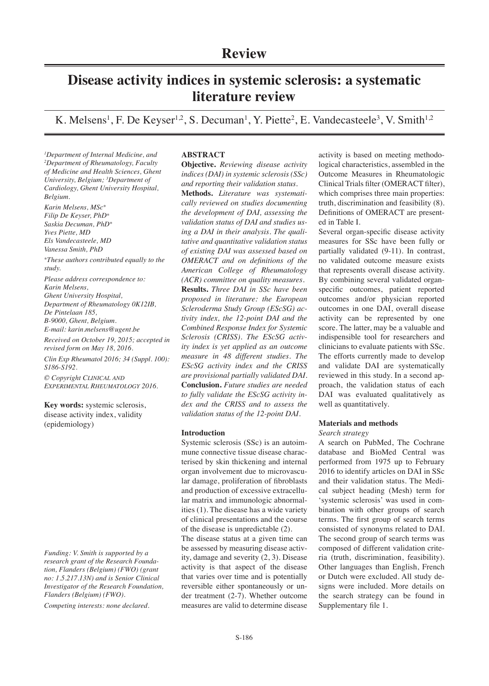# **Disease activity indices in systemic sclerosis: a systematic literature review**

K. Melsens<sup>1</sup>, F. De Keyser<sup>1,2</sup>, S. Decuman<sup>1</sup>, Y. Piette<sup>2</sup>, E. Vandecasteele<sup>3</sup>, V. Smith<sup>1,2</sup>

*1 Department of Internal Medicine, and 2 Department of Rheumatology, Faculty of Medicine and Health Sciences, Ghent University, Belgium; 3 Department of Cardiology, Ghent University Hospital, Belgium.*

*Karin Melsens, MSc\* Filip De Keyser, PhD\* Saskia Decuman, PhD\* Yves Piette, MD Els Vandecasteele, MD Vanessa Smith, PhD*

*\*These authors contributed equally to the study.*

*Please address correspondence to: Karin Melsens, Ghent University Hospital, Department of Rheumatology 0K12IB, De Pintelaan 185, B-9000, Ghent, Belgium. E-mail: karin.melsens@ugent.be*

*Received on October 19, 2015; accepted in revised form on May 18, 2016.*

*Clin Exp Rheumatol 2016; 34 (Suppl. 100): S186-S192.*

*© Copyright Clinical and Experimental Rheumatology 2016.*

**Key words:** systemic sclerosis, disease activity index, validity (epidemiology)

*Funding: V. Smith is supported by a research grant of the Research Foundation, Flanders (Belgium) (FWO) (grant no: 1.5.217.13N) and is Senior Clinical Investigator of the Research Foundation, Flanders (Belgium) (FWO).*

*Competing interests: none declared.*

# **ABSTRACT**

**Objective.** *Reviewing disease activity indices (DAI) in systemic sclerosis (SSc) and reporting their validation status.*  **Methods.** *Literature was systematically reviewed on studies documenting the development of DAI, assessing the validation status of DAI and studies using a DAI in their analysis. The qualitative and quantitative validation status of existing DAI was assessed based on OMERACT and on definitions of the American College of Rheumatology (ACR) committee on quality measures.*  **Results.** *Three DAI in SSc have been proposed in literature: the European Scleroderma Study Group (EScSG) activity index, the 12-point DAI and the Combined Response Index for Systemic Sclerosis (CRISS). The EScSG activity index is yet applied as an outcome measure in 48 different studies. The EScSG activity index and the CRISS are provisional partially validated DAI.* **Conclusion.** *Future studies are needed to fully validate the EScSG activity index and the CRISS and to assess the validation status of the 12-point DAI.*

# **Introduction**

Systemic sclerosis (SSc) is an autoimmune connective tissue disease characterised by skin thickening and internal organ involvement due to microvascular damage, proliferation of fibroblasts and production of excessive extracellular matrix and immunologic abnormalities (1). The disease has a wide variety of clinical presentations and the course of the disease is unpredictable (2).

The disease status at a given time can be assessed by measuring disease activity, damage and severity (2, 3). Disease activity is that aspect of the disease that varies over time and is potentially reversible either spontaneously or under treatment (2-7). Whether outcome measures are valid to determine disease activity is based on meeting methodological characteristics, assembled in the Outcome Measures in Rheumatologic Clinical Trials filter (OMERACT filter), which comprises three main properties: truth, discrimination and feasibility (8). Definitions of OMERACT are presented in Table I.

Several organ-specific disease activity measures for SSc have been fully or partially validated (9-11). In contrast, no validated outcome measure exists that represents overall disease activity. By combining several validated organspecific outcomes, patient reported outcomes and/or physician reported outcomes in one DAI, overall disease activity can be represented by one score. The latter, may be a valuable and indispensible tool for researchers and clinicians to evaluate patients with SSc. The efforts currently made to develop and validate DAI are systematically reviewed in this study. In a second approach, the validation status of each DAI was evaluated qualitatively as well as quantitatively.

# **Materials and methods**

# *Search strategy*

A search on PubMed, The Cochrane database and BioMed Central was performed from 1975 up to February 2016 to identify articles on DAI in SSc and their validation status. The Medical subject heading (Mesh) term for 'systemic sclerosis' was used in combination with other groups of search terms. The first group of search terms consisted of synonyms related to DAI. The second group of search terms was composed of different validation criteria (truth, discrimination, feasibility). Other languages than English, French or Dutch were excluded. All study designs were included. More details on the search strategy can be found in Supplementary file 1.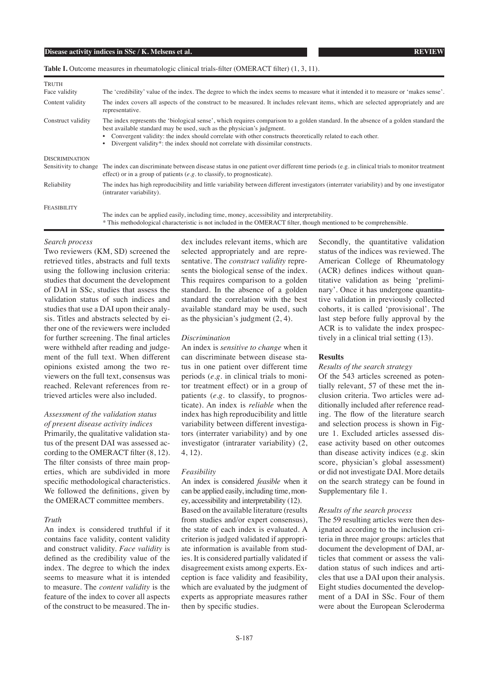# Table I. Outcome measures in rheumatologic clinical trials-filter (OMERACT filter) (1, 3, 11).

| TRUTH                 |                                                                                                                                                                                                                                                                                                                                                                                                                 |
|-----------------------|-----------------------------------------------------------------------------------------------------------------------------------------------------------------------------------------------------------------------------------------------------------------------------------------------------------------------------------------------------------------------------------------------------------------|
| Face validity         | The 'credibility' value of the index. The degree to which the index seems to measure what it intended it to measure or 'makes sense'.                                                                                                                                                                                                                                                                           |
| Content validity      | The index covers all aspects of the construct to be measured. It includes relevant items, which are selected appropriately and are<br>representative.                                                                                                                                                                                                                                                           |
| Construct validity    | The index represents the 'biological sense', which requires comparison to a golden standard. In the absence of a golden standard the<br>best available standard may be used, such as the physician's judgment.<br>Convergent validity: the index should correlate with other constructs theoretically related to each other.<br>Divergent validity*: the index should not correlate with dissimilar constructs. |
| <b>DISCRIMINATION</b> |                                                                                                                                                                                                                                                                                                                                                                                                                 |
| Sensitivity to change | The index can discriminate between disease status in one patient over different time periods (e.g. in clinical trials to monitor treatment<br>effect) or in a group of patients $(e.g. to classify, to propagate)$ .                                                                                                                                                                                            |
| Reliability           | The index has high reproducibility and little variability between different investigators (interrater variability) and by one investigator<br>(intrarater variability).                                                                                                                                                                                                                                         |
| FEASIBILITY           |                                                                                                                                                                                                                                                                                                                                                                                                                 |
|                       | The index can be applied easily, including time, money, accessibility and interpretability.                                                                                                                                                                                                                                                                                                                     |
|                       | * This methodological characteristic is not included in the OMERACT filter, though mentioned to be comprehensible.                                                                                                                                                                                                                                                                                              |

### *Search process*

Two reviewers (KM, SD) screened the retrieved titles, abstracts and full texts using the following inclusion criteria: studies that document the development of DAI in SSc, studies that assess the validation status of such indices and studies that use a DAI upon their analysis. Titles and abstracts selected by either one of the reviewers were included for further screening. The final articles were withheld after reading and judgement of the full text. When different opinions existed among the two reviewers on the full text, consensus was reached. Relevant references from retrieved articles were also included.

# *Assessment of the validation status of present disease activity indices*

Primarily, the qualitative validation status of the present DAI was assessed according to the OMERACT filter (8, 12). The filter consists of three main properties, which are subdivided in more specific methodological characteristics. We followed the definitions, given by the OMERACT committee members.

# *Truth*

An index is considered truthful if it contains face validity, content validity and construct validity. *Face validity* is defined as the credibility value of the index. The degree to which the index seems to measure what it is intended to measure. The *content validity* is the feature of the index to cover all aspects of the construct to be measured. The index includes relevant items, which are selected appropriately and are representative. The *construct validity* represents the biological sense of the index. This requires comparison to a golden standard. In the absence of a golden standard the correlation with the best available standard may be used, such as the physician's judgment (2, 4).

### *Discrimination*

An index is *sensitive to change* when it can discriminate between disease status in one patient over different time periods (*e.g.* in clinical trials to monitor treatment effect) or in a group of patients (*e.g.* to classify, to prognosticate). An index is *reliable* when the index has high reproducibility and little variability between different investigators (interrater variability) and by one investigator (intrarater variability) (2, 4, 12).

# *Feasibility*

An index is considered *feasible* when it can be applied easily, including time, money, accessibility and interpretability (12). Based on the available literature (results from studies and/or expert consensus), the state of each index is evaluated. A criterion is judged validated if appropriate information is available from studies. It is considered partially validated if disagreement exists among experts. Exception is face validity and feasibility, which are evaluated by the judgment of experts as appropriate measures rather then by specific studies.

Secondly, the quantitative validation status of the indices was reviewed. The American College of Rheumatology (ACR) defines indices without quantitative validation as being 'preliminary'. Once it has undergone quantitative validation in previously collected cohorts, it is called 'provisional'. The last step before fully approval by the ACR is to validate the index prospectively in a clinical trial setting (13).

# **Results**

## *Results of the search strategy*

Of the 543 articles screened as potentially relevant, 57 of these met the inclusion criteria. Two articles were additionally included after reference reading. The flow of the literature search and selection process is shown in Figure 1. Excluded articles assessed disease activity based on other outcomes than disease activity indices (e.g. skin score, physician's global assessment) or did not investigate DAI. More details on the search strategy can be found in Supplementary file 1.

### *Results of the search process*

The 59 resulting articles were then designated according to the inclusion criteria in three major groups: articles that document the development of DAI, articles that comment or assess the validation status of such indices and articles that use a DAI upon their analysis. Eight studies documented the development of a DAI in SSc. Four of them were about the European Scleroderma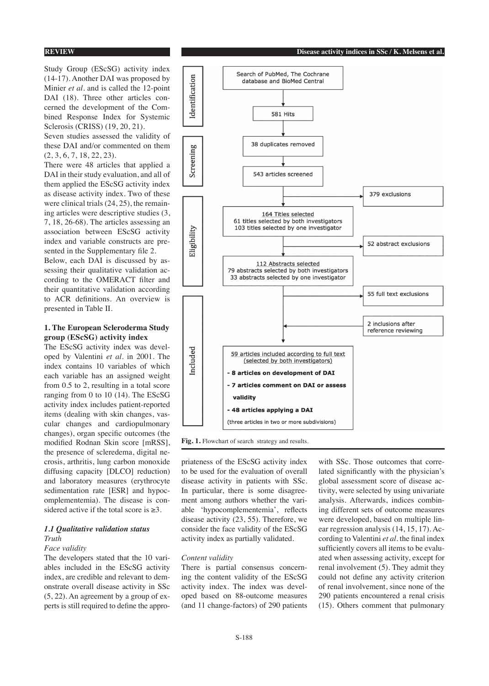Study Group (EScSG) activity index (14-17). Another DAI was proposed by Minier *et al.* and is called the 12-point DAI (18). Three other articles concerned the development of the Combined Response Index for Systemic Sclerosis (CRISS) (19, 20, 21).

Seven studies assessed the validity of these DAI and/or commented on them (2, 3, 6, 7, 18, 22, 23).

There were 48 articles that applied a DAI in their study evaluation, and all of them applied the EScSG activity index as disease activity index. Two of these were clinical trials (24, 25), the remaining articles were descriptive studies (3, 7, 18, 26-68). The articles assessing an association between EScSG activity index and variable constructs are presented in the Supplementary file 2.

Below, each DAI is discussed by assessing their qualitative validation according to the OMERACT filter and their quantitative validation according to ACR definitions. An overview is presented in Table II.

# **1. The European Scleroderma Study group (EScSG) activity index**

The EScSG activity index was developed by Valentini *et al.* in 2001. The index contains 10 variables of which each variable has an assigned weight from 0.5 to 2, resulting in a total score ranging from 0 to 10 (14). The EScSG activity index includes patient-reported items (dealing with skin changes, vascular changes and cardiopulmonary changes), organ specific outcomes (the modified Rodnan Skin score [mRSS], the presence of scleredema, digital necrosis, arthritis, lung carbon monoxide diffusing capacity [DLCO] reduction) and laboratory measures (erythrocyte sedimentation rate [ESR] and hypocomplementemia). The disease is considered active if the total score is  $\geq 3$ .

# *1.1 Qualitative validation status Truth*

#### *Face validity*

The developers stated that the 10 variables included in the EScSG activity index, are credible and relevant to demonstrate overall disease activity in SSc (5, 22). An agreement by a group of experts is still required to define the appro-



**Fig. 1.** Flowchart of search strategy and results.

priateness of the EScSG activity index to be used for the evaluation of overall disease activity in patients with SSc. In particular, there is some disagreement among authors whether the variable 'hypocomplementemia', reflects disease activity (23, 55). Therefore, we consider the face validity of the EScSG activity index as partially validated.

#### *Content validity*

There is partial consensus concerning the content validity of the EScSG activity index. The index was developed based on 88-outcome measures (and 11 change-factors) of 290 patients

with SSc. Those outcomes that correlated significantly with the physician's global assessment score of disease activity, were selected by using univariate analysis. Afterwards, indices combining different sets of outcome measures were developed, based on multiple linear regression analysis (14, 15, 17). According to Valentini *et al.* the final index sufficiently covers all items to be evaluated when assessing activity, except for renal involvement (5). They admit they could not define any activity criterion of renal involvement, since none of the 290 patients encountered a renal crisis (15). Others comment that pulmonary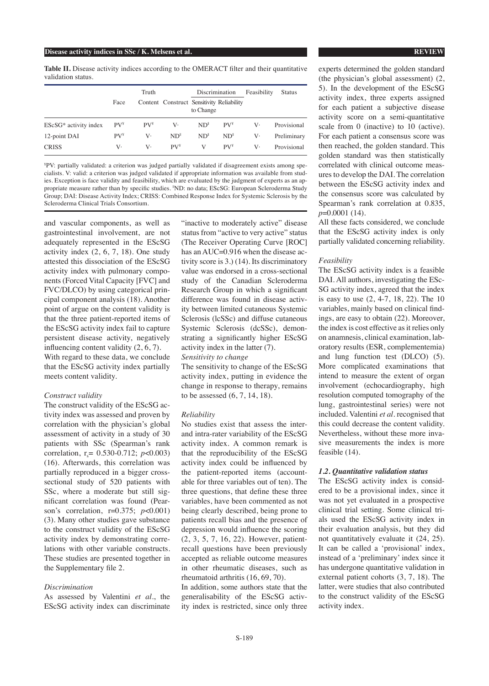**Table II.** Disease activity indices according to the OMERACT filter and their quantitative validation status.

|                         | Truth         |          |                                           | Discrimination                         |                                        | Feasibility | <b>Status</b> |
|-------------------------|---------------|----------|-------------------------------------------|----------------------------------------|----------------------------------------|-------------|---------------|
|                         | Face          |          | Content Construct Sensitivity Reliability | to Change                              |                                        |             |               |
| $EScSG*$ activity index | $PV^{\gamma}$ | $PV^{Y}$ | V·                                        | $ND$ <sup><math>\parallel</math></sup> | $PV^{\gamma}$                          | V.          | Provisional   |
| 12-point DAI            | $PV^{Y}$      | V٠       | $ND$ <sup><math>\parallel</math></sup>    | $ND$ <sup><math>\parallel</math></sup> | $ND$ <sup><math>\parallel</math></sup> | V٠          | Preliminary   |
| <b>CRISS</b>            | V.            | v.       | $PV^{\gamma}$                             | V                                      | $PV^{\gamma}$                          | V.          | Provisional   |

¥ PV: partially validated: a criterion was judged partially validated if disagreement exists among specialists. V: valid: a criterion was judged validated if appropriate information was available from studies. Exception is face validity and feasibility, which are evaluated by the judgment of experts as an appropriate measure rather than by specific studies. "ND: no data; EScSG: European Scleroderma Study Group; DAI: Disease Activity Index; CRISS: Combined Response Index for Systemic Sclerosis by the Scleroderma Clinical Trials Consortium.

and vascular components, as well as gastrointestinal involvement, are not adequately represented in the EScSG activity index (2, 6, 7, 18). One study attested this dissociation of the EScSG activity index with pulmonary components (Forced Vital Capacity [FVC] and FVC/DLCO) by using categorical principal component analysis (18). Another point of argue on the content validity is that the three patient-reported items of the EScSG activity index fail to capture persistent disease activity, negatively influencing content validity (2, 6, 7). With regard to these data, we conclude that the EScSG activity index partially meets content validity.

# *Construct validity*

The construct validity of the EScSG activity index was assessed and proven by correlation with the physician's global assessment of activity in a study of 30 patients with SSc (Spearman's rank correlation,  $r_s = 0.530 - 0.712$ ;  $p < 0.003$ ) (16). Afterwards, this correlation was partially reproduced in a bigger crosssectional study of 520 patients with SSc, where a moderate but still significant correlation was found (Pearson's correlation, r=0.375; *p*<0.001) (3). Many other studies gave substance to the construct validity of the EScSG activity index by demonstrating correlations with other variable constructs. These studies are presented together in the Supplementary file 2.

#### *Discrimination*

As assessed by Valentini *et al*., the EScSG activity index can discriminate

"inactive to moderately active" disease status from "active to very active" status (The Receiver Operating Curve [ROC] has an AUC=0.916 when the disease activity score is 3.) (14). Its discriminatory value was endorsed in a cross-sectional study of the Canadian Scleroderma Research Group in which a significant difference was found in disease activity between limited cutaneous Systemic Sclerosis (lcSSc) and diffuse cutaneous Systemic Sclerosis (dcSSc), demonstrating a significantly higher EScSG activity index in the latter (7).

*Sensitivity to change*

The sensitivity to change of the EScSG activity index, putting in evidence the change in response to therapy, remains to be assessed (6, 7, 14, 18).

#### *Reliability*

No studies exist that assess the interand intra-rater variability of the EScSG activity index. A common remark is that the reproducibility of the EScSG activity index could be influenced by the patient-reported items (accountable for three variables out of ten). The three questions, that define these three variables, have been commented as not being clearly described, being prone to patients recall bias and the presence of depression would influence the scoring (2, 3, 5, 7, 16, 22). However, patientrecall questions have been previously accepted as reliable outcome measures in other rheumatic diseases, such as rheumatoid arthritis (16, 69, 70).

In addition, some authors state that the generalisability of the EScSG activity index is restricted, since only three

experts determined the golden standard (the physician's global assessment) (2, 5). In the development of the EScSG activity index, three experts assigned for each patient a subjective disease activity score on a semi-quantitative scale from 0 (inactive) to 10 (active). For each patient a consensus score was then reached, the golden standard. This golden standard was then statistically correlated with clinical outcome measures to develop the DAI. The correlation between the EScSG activity index and the consensus score was calculated by Spearman's rank correlation at 0.835, *p*=0.0001 (14).

All these facts considered, we conclude that the EScSG activity index is only partially validated concerning reliability.

# *Feasibility*

The EScSG activity index is a feasible DAI. All authors, investigating the ESc-SG activity index, agreed that the index is easy to use (2, 4-7, 18, 22). The 10 variables, mainly based on clinical findings, are easy to obtain (22). Moreover, the index is cost effective as it relies only on anamnesis, clinical examination, laboratory results (ESR, complementemia) and lung function test (DLCO) (5). More complicated examinations that intend to measure the extent of organ involvement (echocardiography, high resolution computed tomography of the lung, gastrointestinal series) were not included. Valentini *et al*. recognised that this could decrease the content validity. Nevertheless, without these more invasive measurements the index is more feasible (14).

# *1.2. Quantitative validation status*

The EScSG activity index is considered to be a provisional index, since it was not yet evaluated in a prospective clinical trial setting. Some clinical trials used the EScSG activity index in their evaluation analysis, but they did not quantitatively evaluate it (24, 25). It can be called a 'provisional' index, instead of a 'preliminary' index since it has undergone quantitative validation in external patient cohorts (3, 7, 18). The latter, were studies that also contributed to the construct validity of the EScSG activity index.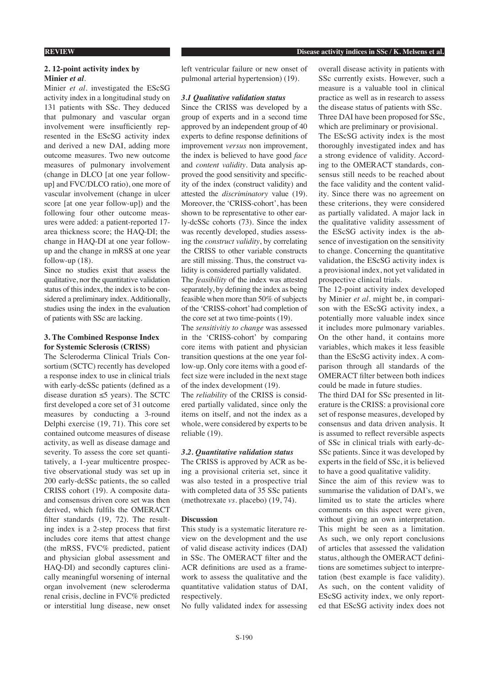# **REVIEW Disease activity indices in SSc / K. Melsens et al.**

# **2. 12-point activity index by Minier** *et al.*

Minier *et al.* investigated the EScSG activity index in a longitudinal study on 131 patients with SSc. They deduced that pulmonary and vascular organ involvement were insufficiently represented in the EScSG activity index and derived a new DAI, adding more outcome measures. Two new outcome measures of pulmonary involvement (change in DLCO [at one year followup] and FVC/DLCO ratio), one more of vascular involvement (change in ulcer score [at one year follow-up]) and the following four other outcome measures were added: a patient-reported 17 area thickness score; the HAQ-DI; the change in HAQ-DI at one year followup and the change in mRSS at one year follow-up (18).

Since no studies exist that assess the qualitative, nor the quantitative validation status of this index, the index is to be considered a preliminary index. Additionally, studies using the index in the evaluation of patients with SSc are lacking.

# **3. The Combined Response Index for Systemic Sclerosis (CRISS)**

The Scleroderma Clinical Trials Consortium (SCTC) recently has developed a response index to use in clinical trials with early-dcSSc patients (defined as a disease duration ≤5 years). The SCTC first developed a core set of 31 outcome measures by conducting a 3-round Delphi exercise (19, 71). This core set contained outcome measures of disease activity, as well as disease damage and severity. To assess the core set quantitatively, a 1-year multicentre prospective observational study was set up in 200 early-dcSSc patients, the so called CRISS cohort (19). A composite dataand consensus driven core set was then derived, which fulfils the OMERACT filter standards (19, 72). The resulting index is a 2-step process that first includes core items that attest change (the mRSS, FVC% predicted, patient and physician global assessment and HAQ-DI) and secondly captures clinically meaningful worsening of internal organ involvement (new scleroderma renal crisis, decline in FVC% predicted or interstitial lung disease, new onset

left ventricular failure or new onset of pulmonal arterial hypertension) (19).

# *3.1 Qualitative validation status*

Since the CRISS was developed by a group of experts and in a second time approved by an independent group of 40 experts to define response definitions of improvement *versus* non improvement, the index is believed to have good *face* and *content validity*. Data analysis approved the good sensitivity and specificity of the index (construct validity) and attested the *discriminatory* value (19). Moreover, the 'CRISS-cohort', has been shown to be representative to other early-dcSSc cohorts (73). Since the index was recently developed, studies assessing the *construct validity*, by correlating the CRISS to other variable constructs are still missing. Thus, the construct validity is considered partially validated.

The *feasibility* of the index was attested separately, by defining the index as being feasible when more than 50% of subjects of the 'CRISS-cohort' had completion of the core set at two time-points (19).

The *sensitivitiy to change* was assessed in the 'CRISS-cohort' by comparing core items with patient and physician transition questions at the one year follow-up. Only core items with a good effect size were included in the next stage of the index development (19).

The *reliability* of the CRISS is considered partially validated, since only the items on itself, and not the index as a whole, were considered by experts to be reliable (19).

# *3.2. Quantitative validation status*

The CRISS is approved by ACR as being a provisional criteria set, since it was also tested in a prospective trial with completed data of 35 SSc patients (methotrexate *vs.* placebo) (19, 74).

### **Discussion**

This study is a systematic literature review on the development and the use of valid disease activity indices (DAI) in SSc. The OMERACT filter and the ACR definitions are used as a framework to assess the qualitative and the quantitative validation status of DAI, respectively.

No fully validated index for assessing

overall disease activity in patients with SSc currently exists. However, such a measure is a valuable tool in clinical practice as well as in research to assess the disease status of patients with SSc. Three DAI have been proposed for SSc,

which are preliminary or provisional. The EScSG activity index is the most thoroughly investigated index and has a strong evidence of validity. According to the OMERACT standards, consensus still needs to be reached about the face validity and the content validity. Since there was no agreement on these criterions, they were considered as partially validated. A major lack in the qualitative validity assessment of the EScSG activity index is the absence of investigation on the sensitivity to change. Concerning the quantitative validation, the EScSG activity index is a provisional index, not yet validated in prospective clinical trials.

The 12-point activity index developed by Minier *et al.* might be, in comparison with the EScSG activity index, a potentially more valuable index since it includes more pulmonary variables. On the other hand, it contains more variables, which makes it less feasible than the EScSG activity index. A comparison through all standards of the OMERACT filter between both indices could be made in future studies.

The third DAI for SSc presented in literature is the CRISS: a provisional core set of response measures, developed by consensus and data driven analysis. It is assumed to reflect reversible aspects of SSc in clinical trials with early-dc-SSc patients. Since it was developed by experts in the field of SSc, it is believed to have a good qualitative validity.

Since the aim of this review was to summarise the validation of DAI's, we limited us to state the articles where comments on this aspect were given, without giving an own interpretation. This might be seen as a limitation. As such, we only report conclusions of articles that assessed the validation status, although the OMERACT definitions are sometimes subject to interpretation (best example is face validity). As such, on the content validity of EScSG activity index, we only reported that EScSG activity index does not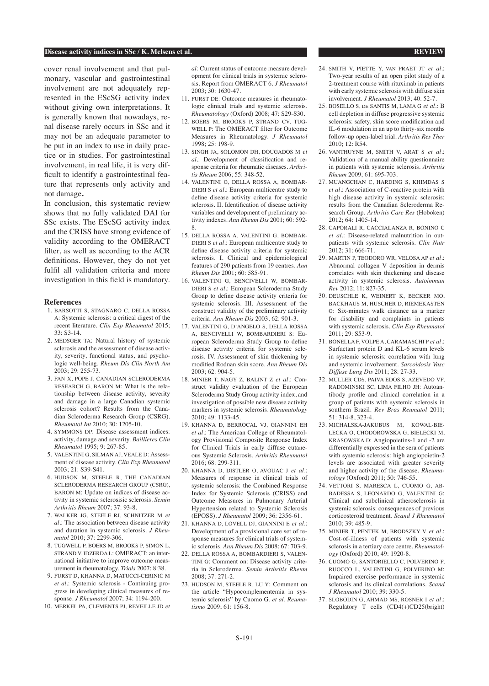#### **Disease activity indices in SSc / K. Melsens et al. REVIEW**

cover renal involvement and that pulmonary, vascular and gastrointestinal involvement are not adequately represented in the EScSG activity index without giving own interpretations. It is generally known that nowadays, renal disease rarely occurs in SSc and it may not be an adequate parameter to be put in an index to use in daily practice or in studies. For gastrointestinal involvement, in real life, it is very difficult to identify a gastrointestinal feature that represents only activity and not damage**.**

In conclusion, this systematic review shows that no fully validated DAI for SSc exists. The EScSG activity index and the CRISS have strong evidence of validity according to the OMERACT filter, as well as according to the ACR definitions. However, they do not yet fulfil all validation criteria and more investigation in this field is mandatory.

### **References**

- 1. BARSOTTI S, STAGNARO C, DELLA ROSSA A: Systemic sclerosis: a critical digest of the recent literature. *Clin Exp Rheumatol* 2015; 33: S3-14.
- 2. MEDSGER TA: Natural history of systemic sclerosis and the assessment of disease activity, severity, functional status, and psychologic well-being. *Rheum Dis Clin North Am*  2003; 29: 255-73.
- 3. FAN X, POPE J, CANADIAN SCLERODERMA RESEARCH G, BARON M: What is the relationship between disease activity, severity and damage in a large Canadian systemic sclerosis cohort? Results from the Canadian Scleroderma Research Group (CSRG). *Rheumatol Int* 2010; 30: 1205-10.
- 4. SYMMONS DP: Disease assessment indices: activity, damage and severity. *Baillieres Clin Rheumatol* 1995; 9: 267-85.
- 5. VALENTINI G, SILMAN AJ, VEALE D: Assessment of disease activity. *Clin Exp Rheumatol*   $2003 \cdot 21 \cdot$  S39-S41.
- 6. HUDSON M, STEELE R, THE CANADIAN SCLERODERMA RESEARCH GROUP (CSRG), BARON M: Update on indices of disease activity in systemic sclerosisic sclerosis. *Semin Arthritis Rheum* 2007; 37: 93-8.
- 7. WALKER JG, STEELE RJ, SCHNITZER M *et al.*: The association between disease activity and duration in systemic sclerosis. *J Rheumatol* 2010; 37: 2299-306.
- 8. TUGWELL P, BOERS M, BROOKS P, SIMON L, STRAND V, IDZERDA L: OMERACT: an international initiative to improve outcome measurement in rheumatology. *Trials* 2007; 8:38.
- 9. FURST D, KHANNA D, MATUCCI-CERINIC M *et al.*: Systemic sclerosis - Continuing progress in developing clinical measures of response. *J Rheumatol* 2007; 34: 1194-200.
- 10. MERKEL PA, CLEMENTS PJ, REVEILLE JD *et*

*al*: Current status of outcome measure development for clinical trials in systemic sclerosis. Report from OMERACT 6. *J Rheumatol*  2003; 30: 1630-47.

- 11. FURST DE: Outcome measures in rheumatologic clinical trials and systemic sclerosis. *Rheumatology* (Oxford) 2008; 47: S29-S30.
- 12. BOERS M, BROOKS P, STRAND CV, TUG-WELL P: The OMERACT filter for Outcome Measures in Rheumatology. *J Rheumatol*  1998; 25: 198-9.
- 13. SINGH JA, SOLOMON DH, DOUGADOS M *et al.*: Development of classification and response criteria for rheumatic diseases. *Arthritis Rheum* 2006; 55: 348-52.
- 14. VALENTINI G, DELLA ROSSA A, BOMBAR-DIERI S *et al.*: European multicentre study to define disease activity criteria for systemic sclerosis. II. Identification of disease activity variables and development of preliminary activity indexes. *Ann Rheum Dis* 2001; 60: 592- 8.
- 15. DELLA ROSSA A, VALENTINI G, BOMBAR-DIERI S *et al.*: European multicentre study to define disease activity criteria for systemic sclerosis. I. Clinical and epidemiological features of 290 patients from 19 centres. *Ann Rheum Dis* 2001; 60: 585-91.
- 16. VALENTINI G, BENCIVELLI W, BOMBAR-DIERI S *et al.*: European Scleroderma Study Group to define disease activity criteria for systemic sclerosis. III. Assessment of the construct validity of the preliminary activity criteria. *Ann Rheum Dis* 2003; 62: 901-3.
- 17. VALENTINI G, D'ANGELO S, DELLA ROSSA A, BENCIVELLI W, BOMBARDIERI S: European Scleroderma Study Group to define disease activity criteria for systemic sclerosis. IV. Assessment of skin thickening by modified Rodnan skin score. *Ann Rheum Dis*  2003; 62: 904-5.
- 18. MINIER T, NAGY Z, BALINT Z *et al.*: Construct validity evaluation of the European Scleroderma Study Group activity index, and investigation of possible new disease activity markers in systemic sclerosis. *Rheumatology*  2010; 49: 1133-45.
- 19. KHANNA D, BERROCAL VJ, GIANNINI EH *et al.*: The American College of Rheumatology Provisional Composite Response Index for Clinical Trials in early diffuse cutaneous Systemic Sclerosis. *Arthritis Rheumatol*  $2016: 68: 299-311$ .
- 20. KHANNA D, DISTLER O, AVOUAC J *et al.*: Measures of response in clinical trials of systemic sclerosis: the Combined Response Index for Systemic Sclerosis (CRISS) and Outcome Measures in Pulmonary Arterial Hypertension related to Systemic Sclerosis (EPOSS). *J Rheumatol* 2009; 36: 2356-61.
- 21. KHANNA D, LOVELL DJ, GIANNINI E *et al.*: Development of a provisional core set of response measures for clinical trials of systemic sclerosis. *Ann Rheum Dis* 2008; 67: 703-9.
- 22. DELLA ROSSA A, BOMBARDIERI S, VALEN-TINI G: Comment on: Disease activity criteria in Scleroderma. *Semin Arthritis Rheum*  2008; 37: 271-2.
- 23. HUDSON M, STEELE R, LU Y: Comment on the article "Hypocomplementemia in systemic sclerosis" by Cuomo G. *et al*. *Reumatismo* 2009; 61: 156-8.
- 24. SMITH V, PIETTE Y, van PRAET JT *et al.*: Two-year results of an open pilot study of a 2-treatment course with rituximab in patients with early systemic sclerosis with diffuse skin involvement. *J Rheumatol* 2013; 40: 52-7.
- 25. BOSELLO S, de SANTIS M, LAMA G *et al.*: B cell depletion in diffuse progressive systemic sclerosis: safety, skin score modification and IL-6 modulation in an up to thirty-six months follow-up open-label trial. *Arthritis Res Ther*   $2010 \cdot 12$ : R54.
- 26. VANTHUYNE M, SMITH V, ARAT S *et al.*: Validation of a manual ability questionnaire in patients with systemic sclerosis. *Arthritis Rheum* 2009; 61: 695-703.
- 27. MUANGCHAN C, HARDING S, KHIMDAS S *et al.*: Association of C-reactive protein with high disease activity in systemic sclerosis: results from the Canadian Scleroderma Research Group. *Arthritis Care Res* (Hoboken) 2012; 64: 1405-14.
- 28. CAPORALI R, CACCIALANZA R, BONINO C *et al.*: Disease-related malnutrition in outpatients with systemic sclerosis. *Clin Nutr* 2012; 31: 666-71.
- 29. MARTIN P, TEODORO WR, VELOSA AP *et al.*: Abnormal collagen V deposition in dermis correlates with skin thickening and disease activity in systemic sclerosis. *Autoimmun Rev* 2012; 11: 827-35.
- 30. DEUSCHLE K, WEINERT K, BECKER MO, BACKHAUS M, HUSCHER D, RIEMEKASTEN G: Six-minutes walk distance as a marker for disability and complaints in patients with systemic sclerosis. *Clin Exp Rheumatol*  2011; 29: S53-9.
- 31. BONELLA F, VOLPE A, CARAMASCHI P *et al.*: Surfactant protein D and KL-6 serum levels in systemic sclerosis: correlation with lung and systemic involvement. *Sarcoidosis Vasc Diffuse Lung Dis* 2011; 28: 27-33.
- 32. MULLER CDS, PAIVA EDOS S, AZEVEDO VF, RADOMINSKI SC, LIMA FILHO JH: Autoantibody profile and clinical correlation in a group of patients with systemic sclerosis in southern Brazil. *Rev Bras Reumatol* 2011; 51: 314-8, 323-4.
- 33. MICHALSKA-JAKUBUS M, KOWAL-BIE-LECKA O, CHODOROWSKA G, BIELECKI M, KRASOWSKA D: Angiopoietins-1 and -2 are differentially expressed in the sera of patients with systemic sclerosis: high angiopoietin-2 levels are associated with greater severity and higher activity of the disease. *Rheumatology* (Oxford) 2011; 50: 746-55.
- 34. VETTORI S, MARESCA L, CUOMO G, AB-BADESSA S, LEONARDO G, VALENTINI G: Clinical and subclinical atherosclerosis in systemic sclerosis: consequences of previous corticosteroid treatment. *Scand J Rheumatol*  2010; 39: 485-9.
- 35. MINIER T, PENTEK M, BRODSZKY V *et al.*: Cost-of-illness of patients with systemic sclerosis in a tertiary care centre. *Rheumatology* (Oxford) 2010; 49: 1920-8.
- 36. CUOMO G, SANTORIELLO C, POLVERINO F, RUOCCO L, VALENTINI G, POLVERINO M: Impaired exercise performance in systemic sclerosis and its clinical correlations. *Scand J Rheumatol* 2010; 39: 330-5.
- 37. SLOBODIN G, AHMAD MS, ROSNER I *et al.*: Regulatory T cells (CD4(+)CD25(bright)